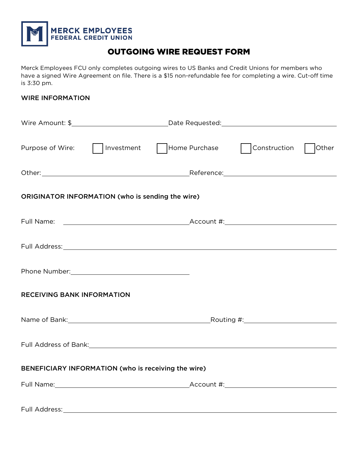

# OUTGOING WIRE REQUEST FORM

Merck Employees FCU only completes outgoing wires to US Banks and Credit Unions for members who have a signed Wire Agreement on file. There is a \$15 non-refundable fee for completing a wire. Cut-off time is 3:30 pm.

### WIRE INFORMATION

|                                                     | Purpose of Wire:     Investment     Home Purchase     Construction     Other                                   |  |  |  |  |  |  |  |
|-----------------------------------------------------|----------------------------------------------------------------------------------------------------------------|--|--|--|--|--|--|--|
|                                                     |                                                                                                                |  |  |  |  |  |  |  |
| ORIGINATOR INFORMATION (who is sending the wire)    |                                                                                                                |  |  |  |  |  |  |  |
|                                                     |                                                                                                                |  |  |  |  |  |  |  |
|                                                     |                                                                                                                |  |  |  |  |  |  |  |
|                                                     |                                                                                                                |  |  |  |  |  |  |  |
| <b>RECEIVING BANK INFORMATION</b>                   |                                                                                                                |  |  |  |  |  |  |  |
|                                                     | Name of Bank: Name of Bank: Name of Bank: Name of Bank: Name of Bank: Name of Bank: Name of Bank: Name of Bank |  |  |  |  |  |  |  |
|                                                     | Full Address of Bank: Manual Address of Bank: Manual Address of Bank: Manual Address of Bank:                  |  |  |  |  |  |  |  |
| BENEFICIARY INFORMATION (who is receiving the wire) |                                                                                                                |  |  |  |  |  |  |  |
|                                                     |                                                                                                                |  |  |  |  |  |  |  |
| Full Address:                                       |                                                                                                                |  |  |  |  |  |  |  |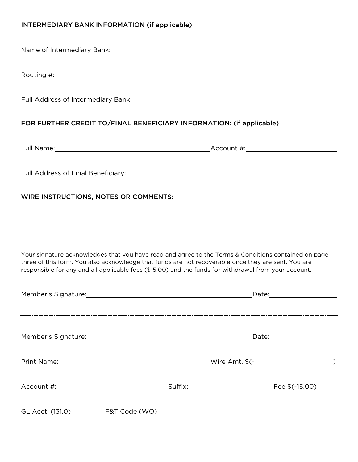# INTERMEDIARY BANK INFORMATION (if applicable)

Name of Intermediary Bank: Name of Intermediary Bank:

| Routing #: |
|------------|
|------------|

Full Address of Intermediary Bank:

# FOR FURTHER CREDIT TO/FINAL BENEFICIARY INFORMATION: (if applicable)

Full Name: <u>Account #:</u> Account #: Account #: Account #: Account #: Account #: Account #: Account #: Account #: Account #: Account #: Account #: Account #: Account #: Account #: Account #: Account #: Account #: Account #:

Full Address of Final Beneficiary: Manual Address of Final Beneficiary: Manual Address of Final Beneficiary:

# WIRE INSTRUCTIONS, NOTES OR COMMENTS:

Your signature acknowledges that you have read and agree to the Terms & Conditions contained on page three of this form. You also acknowledge that funds are not recoverable once they are sent. You are responsible for any and all applicable fees (\$15.00) and the funds for withdrawal from your account.

| Member's Signature: The Contract of the Contract of the Contract of the Contract of the Contract of the Contract of the Contract of the Contract of the Contract of the Contract of the Contract of the Contract of the Contra |               |  |  | Date: the contract of the contract of the contract of the contract of the contract of the contract of the contract of the contract of the contract of the contract of the contract of the contract of the contract of the cont |  |
|--------------------------------------------------------------------------------------------------------------------------------------------------------------------------------------------------------------------------------|---------------|--|--|--------------------------------------------------------------------------------------------------------------------------------------------------------------------------------------------------------------------------------|--|
| Member's Signature: Manual Account of Member's Signature:                                                                                                                                                                      |               |  |  |                                                                                                                                                                                                                                |  |
| Print Name: <u>__________________________________</u>                                                                                                                                                                          |               |  |  |                                                                                                                                                                                                                                |  |
| Account #: _________________________                                                                                                                                                                                           |               |  |  | Fee \$(-15.00)                                                                                                                                                                                                                 |  |
| GL Acct. (131.0)                                                                                                                                                                                                               | F&T Code (WO) |  |  |                                                                                                                                                                                                                                |  |